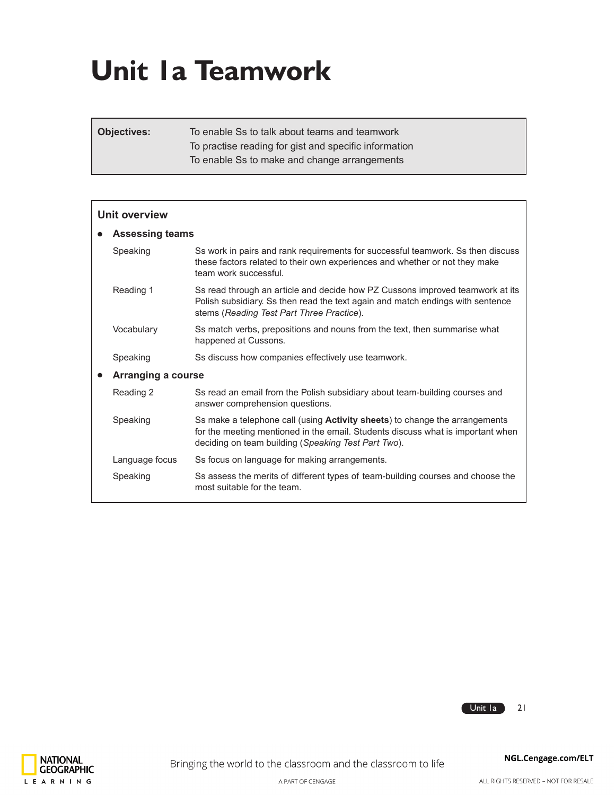# **Unit 1a Teamwork**

**Objectives:** To enable Ss to talk about teams and teamwork To practise reading for gist and specific information To enable Ss to make and change arrangements

| Unit overview |                        |                                                                                                                                                                                                                       |  |  |  |  |  |
|---------------|------------------------|-----------------------------------------------------------------------------------------------------------------------------------------------------------------------------------------------------------------------|--|--|--|--|--|
|               | <b>Assessing teams</b> |                                                                                                                                                                                                                       |  |  |  |  |  |
|               | Speaking               | Ss work in pairs and rank requirements for successful teamwork. Ss then discuss<br>these factors related to their own experiences and whether or not they make<br>team work successful.                               |  |  |  |  |  |
|               | Reading 1              | Ss read through an article and decide how PZ Cussons improved teamwork at its<br>Polish subsidiary. Ss then read the text again and match endings with sentence<br>stems (Reading Test Part Three Practice).          |  |  |  |  |  |
|               | Vocabulary             | Ss match verbs, prepositions and nouns from the text, then summarise what<br>happened at Cussons.                                                                                                                     |  |  |  |  |  |
|               | Speaking               | Ss discuss how companies effectively use teamwork.                                                                                                                                                                    |  |  |  |  |  |
|               | Arranging a course     |                                                                                                                                                                                                                       |  |  |  |  |  |
|               | Reading 2              | Ss read an email from the Polish subsidiary about team-building courses and<br>answer comprehension questions.                                                                                                        |  |  |  |  |  |
|               | Speaking               | Ss make a telephone call (using Activity sheets) to change the arrangements<br>for the meeting mentioned in the email. Students discuss what is important when<br>deciding on team building (Speaking Test Part Two). |  |  |  |  |  |
|               | Language focus         | Ss focus on language for making arrangements.                                                                                                                                                                         |  |  |  |  |  |
|               | Speaking               | Ss assess the merits of different types of team-building courses and choose the<br>most suitable for the team.                                                                                                        |  |  |  |  |  |



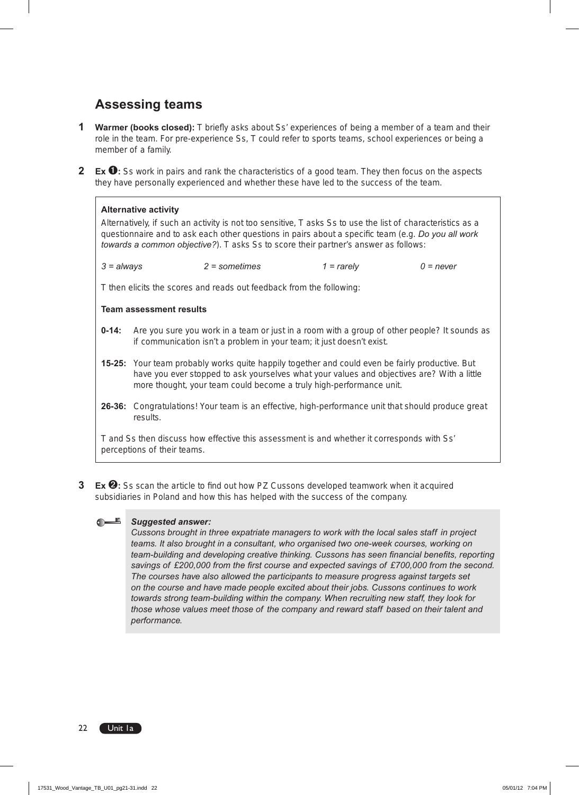# **Assessing teams**

- **1 Warmer (books closed):** T briefly asks about Ss' experiences of being a member of a team and their role in the team. For pre-experience Ss, T could refer to sports teams, school experiences or being a member of a family.
- **2 Ex**  $\bullet$ **:** Ss work in pairs and rank the characteristics of a good team. They then focus on the aspects they have personally experienced and whether these have led to the success of the team.

#### **Alternative activity**

Alternatively, if such an activity is not too sensitive, T asks Ss to use the list of characteristics as a questionnaire and to ask each other questions in pairs about a specific team (e.g. *Do you all work towards a common objective?*). T asks Ss to score their partner's answer as follows:

| $3 = always$ | $2 =$ sometimes | $1 =$ rarely | 0 = never |
|--------------|-----------------|--------------|-----------|
|              |                 |              |           |

T then elicits the scores and reads out feedback from the following:

#### **Team assessment results**

- **0-14:** Are you sure you work in a team or just in a room with a group of other people? It sounds as if communication isn't a problem in your team; it just doesn't exist.
- **15-25:** Your team probably works quite happily together and could even be fairly productive. But have you ever stopped to ask yourselves what your values and objectives are? With a little more thought, your team could become a truly high-performance unit.
- **26-36:** Congratulations! Your team is an effective, high-performance unit that should produce great results.

T and Ss then discuss how effective this assessment is and whether it corresponds with Ss' perceptions of their teams.

**3 Ex** ➋**:** Ss scan the article to find out how PZ Cussons developed teamwork when it acquired subsidiaries in Poland and how this has helped with the success of the company.

### *Suggested answer:*

*Cussons brought in three expatriate managers to work with the local sales staff in project teams. It also brought in a consultant, who organised two one-week courses, working on team-building and developing creative thinking. Cussons has seen financial benefits, reporting savings of £200,000 from the first course and expected savings of £700,000 from the second. The courses have also allowed the participants to measure progress against targets set on the course and have made people excited about their jobs. Cussons continues to work towards strong team-building within the company. When recruiting new staff, they look for those whose values meet those of the company and reward staff based on their talent and performance.*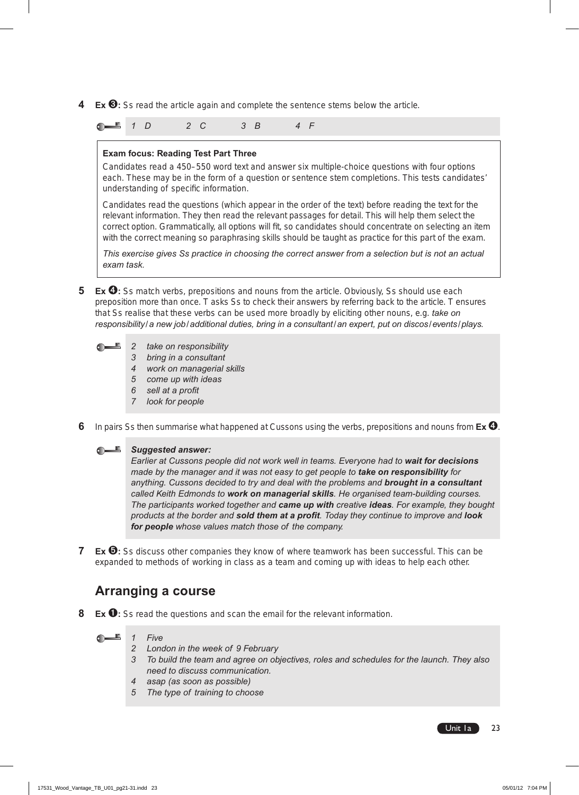**4 Ex** ➌**:** Ss read the article again and complete the sentence stems below the article.

*1 D 2 C 3 B 4 F* 

#### **Exam focus: Reading Test Part Three**

Candidates read a 450–550 word text and answer six multiple-choice questions with four options each. These may be in the form of a question or sentence stem completions. This tests candidates' understanding of specific information.

Candidates read the questions (which appear in the order of the text) before reading the text for the relevant information. They then read the relevant passages for detail. This will help them select the correct option. Grammatically, all options will fit, so candidates should concentrate on selecting an item with the correct meaning so paraphrasing skills should be taught as practice for this part of the exam.

*This exercise gives Ss practice in choosing the correct answer from a selection but is not an actual exam task.*

**5 Ex**  $\bullet$ **:** Ss match verbs, prepositions and nouns from the article. Obviously, Ss should use each preposition more than once. T asks Ss to check their answers by referring back to the article. T ensures that Ss realise that these verbs can be used more broadly by eliciting other nouns, e.g. *take on responsibility/a new job/additional duties, bring in a consultant/an expert, put on discos/events/plays.*



- *2 take on responsibility*
- *3 bring in a consultant*
- *4 work on managerial skills*
- *5 come up with ideas*
- *6 sell at a profit*
- *7 look for people*
- **6** In pairs Ss then summarise what happened at Cussons using the verbs, prepositions and nouns from **Ex**➍.



*Earlier at Cussons people did not work well in teams. Everyone had to wait for decisions made by the manager and it was not easy to get people to take on responsibility for anything. Cussons decided to try and deal with the problems and brought in a consultant called Keith Edmonds to work on managerial skills. He organised team-building courses. The participants worked together and came up with creative ideas. For example, they bought products at the border and sold them at a profit. Today they continue to improve and look for people whose values match those of the company.*

**7 Ex <b>☉**: Ss discuss other companies they know of where teamwork has been successful. This can be expanded to methods of working in class as a team and coming up with ideas to help each other.

## **Arranging a course**

**8 Ex** ➊**:** Ss read the questions and scan the email for the relevant information.

 $\bullet$   $\blacksquare$ *1 Five* 

- *2 London in the week of 9 February*
- *3 To build the team and agree on objectives, roles and schedules for the launch. They also need to discuss communication.*
- *4 asap (as soon as possible)*
- *5 The type of training to choose*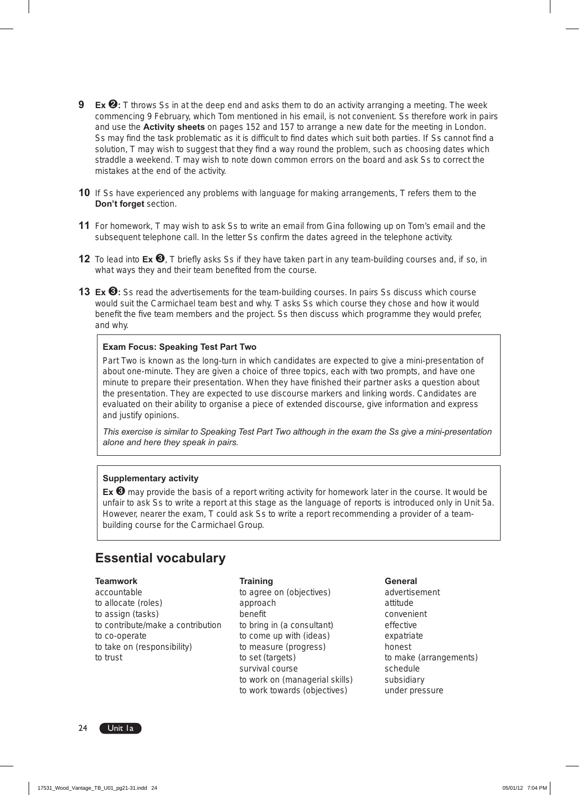- **9 Ex <sup><b>☉**</sup>: T throws Ss in at the deep end and asks them to do an activity arranging a meeting. The week commencing 9 February, which Tom mentioned in his email, is not convenient. Ss therefore work in pairs and use the **Activity sheets** on pages 152 and 157 to arrange a new date for the meeting in London. Ss may find the task problematic as it is difficult to find dates which suit both parties. If Ss cannot find a solution, T may wish to suggest that they find a way round the problem, such as choosing dates which straddle a weekend. T may wish to note down common errors on the board and ask Ss to correct the mistakes at the end of the activity.
- **10** If Ss have experienced any problems with language for making arrangements, T refers them to the **Don't forget** section.
- **11** For homework, T may wish to ask Ss to write an email from Gina following up on Tom's email and the subsequent telephone call. In the letter Ss confirm the dates agreed in the telephone activity.
- **12** To lead into **Ex <sup>❸</sup>**, T briefly asks Ss if they have taken part in any team-building courses and, if so, in what ways they and their team benefited from the course.
- **13 Ex <sup>❸</sup>:** Ss read the advertisements for the team-building courses. In pairs Ss discuss which course would suit the Carmichael team best and why. T asks Ss which course they chose and how it would benefit the five team members and the project. Ss then discuss which programme they would prefer, and why.

#### **Exam Focus: Speaking Test Part Two**

Part Two is known as the long-turn in which candidates are expected to give a mini-presentation of about one-minute. They are given a choice of three topics, each with two prompts, and have one minute to prepare their presentation. When they have finished their partner asks a question about the presentation. They are expected to use discourse markers and linking words. Candidates are evaluated on their ability to organise a piece of extended discourse, give information and express and justify opinions.

*This exercise is similar to Speaking Test Part Two although in the exam the Ss give a mini-presentation alone and here they speak in pairs.*

#### **Supplementary activity**

**Ex** ➌ may provide the basis of a report writing activity for homework later in the course. It would be unfair to ask Ss to write a report at this stage as the language of reports is introduced only in Unit 5a. However, nearer the exam, T could ask Ss to write a report recommending a provider of a teambuilding course for the Carmichael Group.

## **Essential vocabulary**

#### **Teamwork Training General**

to allocate (roles) approach attitude and approach attitude attitude attitude attitude attitude at  $\alpha$ to assign (tasks) benefit that convenient convenient to contribute/make a contribution to bring in (a consultant) effective to co-operate to come up with (ideas) expatriate to take on (responsibility) to measure (progress) honest to trust to set (targets) to set (targets) to make (arrangements)

accountable **accountable b** to agree on (objectives) **advertisement** survival course survival course to work on (managerial skills) subsidiary

to work towards (objectives) under pressure

24 Unit la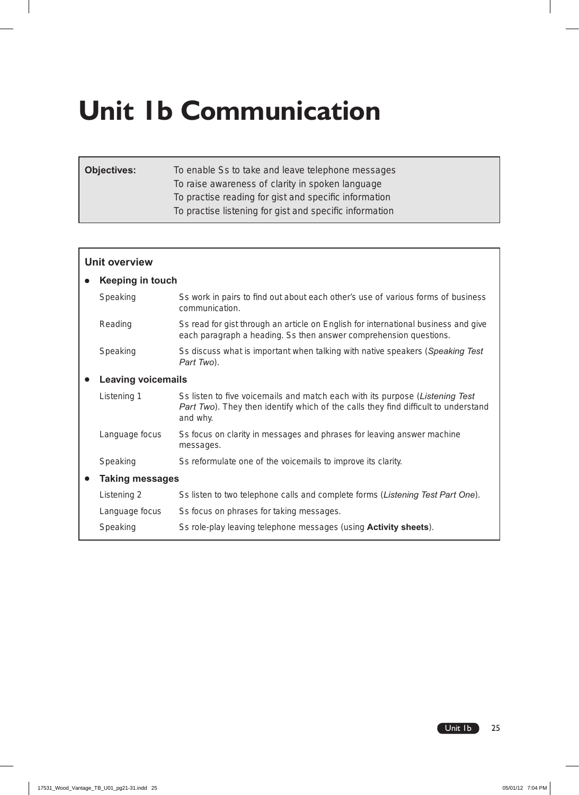# **Unit 1b Communication**

| <b>Objectives:</b> | To enable Ss to take and leave telephone messages       |
|--------------------|---------------------------------------------------------|
|                    | To raise awareness of clarity in spoken language        |
|                    | To practise reading for gist and specific information   |
|                    | To practise listening for gist and specific information |
|                    |                                                         |

| <b>Unit overview</b> |                           |                                                                                                                                                                                |  |  |  |  |  |
|----------------------|---------------------------|--------------------------------------------------------------------------------------------------------------------------------------------------------------------------------|--|--|--|--|--|
|                      | <b>Keeping in touch</b>   |                                                                                                                                                                                |  |  |  |  |  |
|                      | Speaking                  | Ss work in pairs to find out about each other's use of various forms of business<br>communication.                                                                             |  |  |  |  |  |
|                      | Reading                   | Ss read for gist through an article on English for international business and give<br>each paragraph a heading. Ss then answer comprehension questions.                        |  |  |  |  |  |
|                      | Speaking                  | Ss discuss what is important when talking with native speakers (Speaking Test)<br>Part Two).                                                                                   |  |  |  |  |  |
|                      | <b>Leaving voicemails</b> |                                                                                                                                                                                |  |  |  |  |  |
|                      | Listening 1               | Ss listen to five voicemails and match each with its purpose (Listening Test<br>Part Two). They then identify which of the calls they find difficult to understand<br>and why. |  |  |  |  |  |
|                      | Language focus            | Ss focus on clarity in messages and phrases for leaving answer machine<br>messages.                                                                                            |  |  |  |  |  |
|                      | Speaking                  | Ss reformulate one of the voicemails to improve its clarity.                                                                                                                   |  |  |  |  |  |
|                      | <b>Taking messages</b>    |                                                                                                                                                                                |  |  |  |  |  |
|                      | Listening 2               | Ss listen to two telephone calls and complete forms (Listening Test Part One).                                                                                                 |  |  |  |  |  |
|                      | Language focus            | Ss focus on phrases for taking messages.                                                                                                                                       |  |  |  |  |  |
|                      | Speaking                  | Ss role-play leaving telephone messages (using <b>Activity sheets</b> ).                                                                                                       |  |  |  |  |  |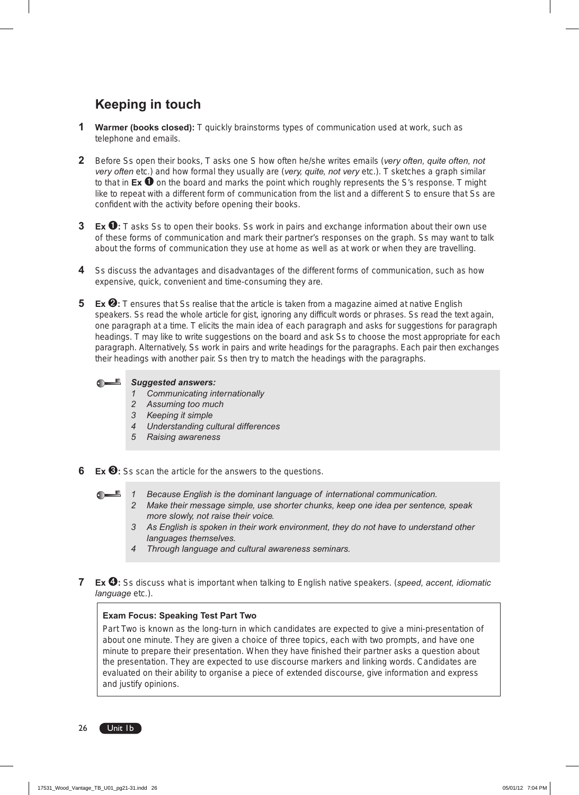# **Keeping in touch**

- **1 Warmer (books closed):** T quickly brainstorms types of communication used at work, such as telephone and emails.
- **2** Before Ss open their books, T asks one S how often he/she writes emails (*very often, quite often, not very often* etc*.*) and how formal they usually are (*very, quite, not very* etc.). T sketches a graph similar to that in **Ex** ➊ on the board and marks the point which roughly represents the S's response. T might like to repeat with a different form of communication from the list and a different S to ensure that Ss are confident with the activity before opening their books.
- **3 Ex** ➊**:** T asks Ss to open their books. Ss work in pairs and exchange information about their own use of these forms of communication and mark their partner's responses on the graph. Ss may want to talk about the forms of communication they use at home as well as at work or when they are travelling.
- **4** Ss discuss the advantages and disadvantages of the different forms of communication, such as how expensive, quick, convenient and time-consuming they are.
- **5 Ex <sup><b>☉**</sup>: T ensures that Ss realise that the article is taken from a magazine aimed at native English speakers. Ss read the whole article for gist, ignoring any difficult words or phrases. Ss read the text again, one paragraph at a time. T elicits the main idea of each paragraph and asks for suggestions for paragraph headings. T may like to write suggestions on the board and ask Ss to choose the most appropriate for each paragraph. Alternatively, Ss work in pairs and write headings for the paragraphs. Each pair then exchanges their headings with another pair. Ss then try to match the headings with the paragraphs.

*Suggested answers:*  $\mathbf{H}^{\text{tr}}$ 

- *1 Communicating internationally*
- *2 Assuming too much*
- *3 Keeping it simple*
- *4 Understanding cultural differences*
- *5 Raising awareness*

**6 Ex** ➌**:** Ss scan the article for the answers to the questions.

- $\mathbf{F}$ *1 Because English is the dominant language of international communication.*
	- *2 Make their message simple, use shorter chunks, keep one idea per sentence, speak more slowly, not raise their voice.*
	- *3 As English is spoken in their work environment, they do not have to understand other languages themselves.*
	- *4 Through language and cultural awareness seminars.*
- **7 Ex** ➍**:** Ss discuss what is important when talking to English native speakers. (*speed, accent, idiomatic language* etc*.*).

#### **Exam Focus: Speaking Test Part Two**

Part Two is known as the long-turn in which candidates are expected to give a mini-presentation of about one minute. They are given a choice of three topics, each with two prompts, and have one minute to prepare their presentation. When they have finished their partner asks a question about the presentation. They are expected to use discourse markers and linking words. Candidates are evaluated on their ability to organise a piece of extended discourse, give information and express and justify opinions.

26 Unit Ib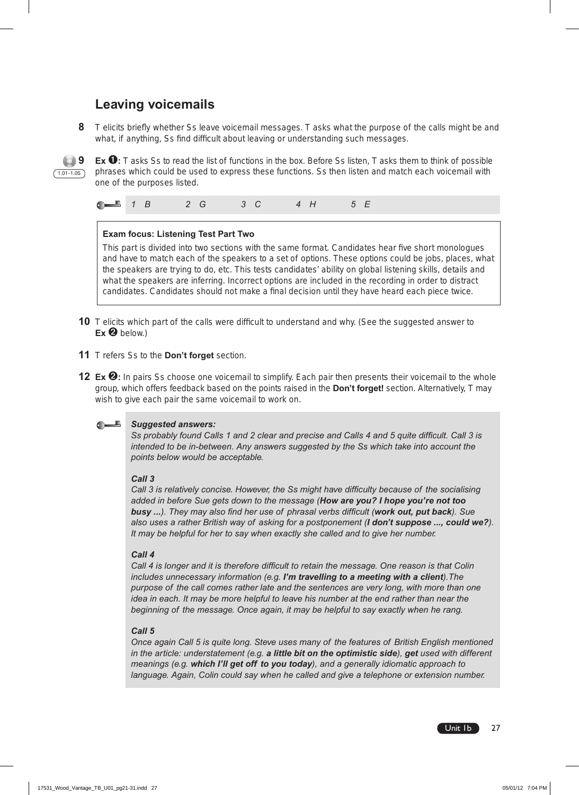# **Leaving voicemails**

**8** T elicits briefly whether Ss leave voicemail messages. T asks what the purpose of the calls might be and what, if anything, Ss find difficult about leaving or understanding such messages.



**9 Ex** ➊**:** T asks Ss to read the list of functions in the box. Before Ss listen, T asks them to think of possible phrases which could be used to express these functions. Ss then listen and match each voicemail with one of the purposes listed.

|--|--|--|--|--|--|--|--|--|--|--|

#### **Exam focus: Listening Test Part Two**

This part is divided into two sections with the same format. Candidates hear five short monologues and have to match each of the speakers to a set of options. These options could be jobs, places, what the speakers are trying to do, etc. This tests candidates' ability on global listening skills, details and what the speakers are inferring. Incorrect options are included in the recording in order to distract candidates. Candidates should not make a final decision until they have heard each piece twice.

- **10** T elicits which part of the calls were difficult to understand and why. (See the suggested answer to **Ex** ➋ below.)
- **11** T refers Ss to the **Don't forget** section.
- **12 Ex <sup><b>☉**</sup>: In pairs Ss choose one voicemail to simplify. Each pair then presents their voicemail to the whole group, which offers feedback based on the points raised in the **Don't forget!** section. Alternatively, T may wish to give each pair the same voicemail to work on.

#### *Suggested answers:*

*Ss probably found Calls 1 and 2 clear and precise and Calls 4 and 5 quite difficult. Call 3 is intended to be in-between. Any answers suggested by the Ss which take into account the points below would be acceptable.*

#### *Call 3*

*Call 3 is relatively concise. However, the Ss might have difficulty because of the socialising added in before Sue gets down to the message (How are you? I hope you're not too busy ...). They may also find her use of phrasal verbs difficult (work out, put back). Sue also uses a rather British way of asking for a postponement (I don't suppose ..., could we?). It may be helpful for her to say when exactly she called and to give her number.*

#### *Call 4*

*Call 4 is longer and it is therefore difficult to retain the message. One reason is that Colin includes unnecessary information (e.g. I'm travelling to a meeting with a client).The purpose of the call comes rather late and the sentences are very long, with more than one idea in each. It may be more helpful to leave his number at the end rather than near the beginning of the message. Once again, it may be helpful to say exactly when he rang.*

#### *Call 5*

*Once again Call 5 is quite long. Steve uses many of the features of British English mentioned in the article: understatement (e.g. a little bit on the optimistic side), get used with different meanings (e.g. which I'll get off to you today), and a generally idiomatic approach to language. Again, Colin could say when he called and give a telephone or extension number.*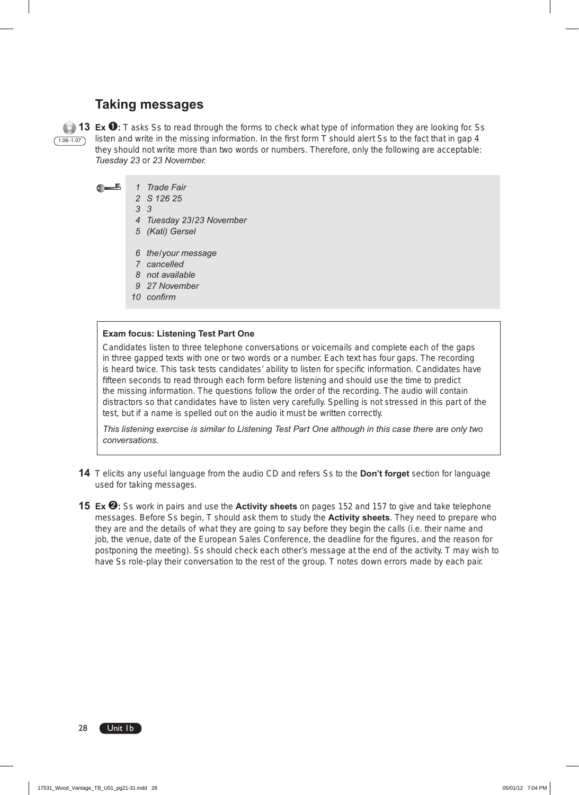## **Taking messages**

 $(1.06 - 1.07)$ 

**13 Ex** ➊**:** T asks Ss to read through the forms to check what type of information they are looking for. Ss listen and write in the missing information. In the first form T should alert Ss to the fact that in gap 4 they should not write more than two words or numbers. Therefore, only the following are acceptable: *Tuesday 23* or *23 November.*

- $\bigcap$ *1 Trade Fair*
	- *2 S 126 25*
	- *3 3*
	- *4 Tuesday 23/23 November*
	- *5 (Kati) Gersel*
	- *6 the/your message*
	- *7 cancelled*
	- *8 not available*
	- *9 27 November*
	- *10 confirm*

#### **Exam focus: Listening Test Part One**

Candidates listen to three telephone conversations or voicemails and complete each of the gaps in three gapped texts with one or two words or a number. Each text has four gaps. The recording is heard twice. This task tests candidates' ability to listen for specific information. Candidates have fifteen seconds to read through each form before listening and should use the time to predict the missing information. The questions follow the order of the recording. The audio will contain distractors so that candidates have to listen very carefully. Spelling is not stressed in this part of the test, but if a name is spelled out on the audio it must be written correctly.

*This listening exercise is similar to Listening Test Part One although in this case there are only two conversations.* 

- **14** T elicits any useful language from the audio CD and refers Ss to the **Don't forget** section for language used for taking messages.
- **15 Ex <sup><b>☉**</sup>: Ss work in pairs and use the **Activity sheets** on pages 152 and 157 to give and take telephone messages. Before Ss begin, T should ask them to study the **Activity sheets**. They need to prepare who they are and the details of what they are going to say before they begin the calls (i.e. their name and job, the venue, date of the European Sales Conference, the deadline for the figures, and the reason for postponing the meeting). Ss should check each other's message at the end of the activity. T may wish to have Ss role-play their conversation to the rest of the group. T notes down errors made by each pair.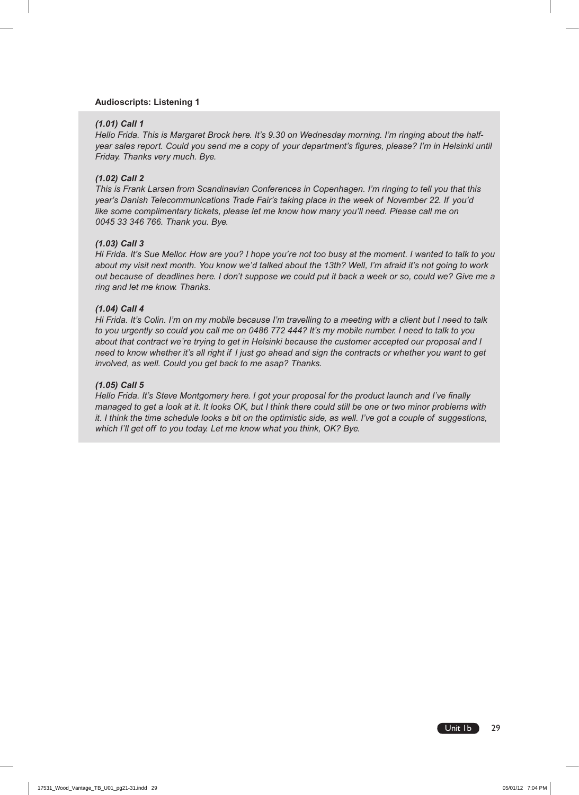#### **Audioscripts: Listening 1**

#### *(1.01) Call 1*

*Hello Frida. This is Margaret Brock here. It's 9.30 on Wednesday morning. I'm ringing about the halfyear sales report. Could you send me a copy of your department's figures, please? I'm in Helsinki until Friday. Thanks very much. Bye.*

#### *(1.02) Call 2*

*This is Frank Larsen from Scandinavian Conferences in Copenhagen. I'm ringing to tell you that this year's Danish Telecommunications Trade Fair's taking place in the week of November 22. If you'd like some complimentary tickets, please let me know how many you'll need. Please call me on 0045 33 346 766. Thank you. Bye.*

#### *(1.03) Call 3*

*Hi Frida. It's Sue Mellor. How are you? I hope you're not too busy at the moment. I wanted to talk to you about my visit next month. You know we'd talked about the 13th? Well, I'm afraid it's not going to work out because of deadlines here. I don't suppose we could put it back a week or so, could we? Give me a ring and let me know. Thanks.*

#### *(1.04) Call 4*

*Hi Frida. It's Colin. I'm on my mobile because I'm travelling to a meeting with a client but I need to talk to you urgently so could you call me on 0486 772 444? It's my mobile number. I need to talk to you about that contract we're trying to get in Helsinki because the customer accepted our proposal and I need to know whether it's all right if I just go ahead and sign the contracts or whether you want to get involved, as well. Could you get back to me asap? Thanks.*

#### *(1.05) Call 5*

*Hello Frida. It's Steve Montgomery here. I got your proposal for the product launch and I've finally managed to get a look at it. It looks OK, but I think there could still be one or two minor problems with it. I think the time schedule looks a bit on the optimistic side, as well. I've got a couple of suggestions, which I'll get off to you today. Let me know what you think, OK? Bye.*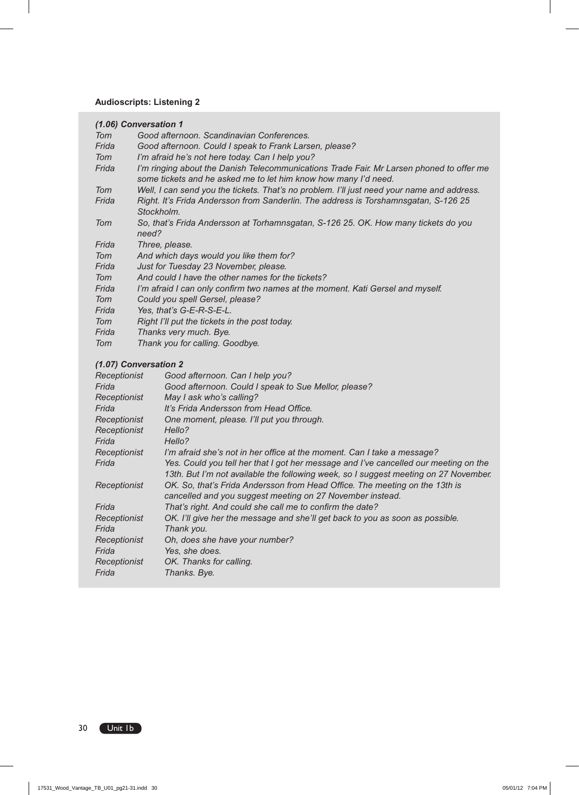## **Audioscripts: Listening 2**

|       | (1.06) Conversation 1                                                                                                                                       |
|-------|-------------------------------------------------------------------------------------------------------------------------------------------------------------|
| Tom   | Good afternoon. Scandinavian Conferences.                                                                                                                   |
| Frida | Good afternoon. Could I speak to Frank Larsen, please?                                                                                                      |
| Tom   | I'm afraid he's not here today. Can I help you?                                                                                                             |
| Frida | I'm ringing about the Danish Telecommunications Trade Fair. Mr Larsen phoned to offer me<br>some tickets and he asked me to let him know how many I'd need. |
| Tom   | Well, I can send you the tickets. That's no problem. I'll just need your name and address.                                                                  |
| Frida | Right. It's Frida Andersson from Sanderlin. The address is Torshamnsgatan, S-126 25<br>Stockholm.                                                           |
| Tom   | So, that's Frida Andersson at Torhamnsgatan, S-126 25. OK. How many tickets do you<br>need?                                                                 |
| Frida | Three, please.                                                                                                                                              |
| Tom   | And which days would you like them for?                                                                                                                     |
| Frida | Just for Tuesday 23 November, please.                                                                                                                       |
| Tom   | And could I have the other names for the tickets?                                                                                                           |
| Frida | I'm afraid I can only confirm two names at the moment. Kati Gersel and myself.                                                                              |
| Tom   | Could you spell Gersel, please?                                                                                                                             |
| Frida | Yes, that's G-E-R-S-E-L.                                                                                                                                    |
| Tom   | Right I'll put the tickets in the post today.                                                                                                               |
| Frida | Thanks very much. Bye.                                                                                                                                      |
| Tom   | Thank you for calling. Goodbye.                                                                                                                             |

### *(1.07) Conversation 2*

| Receptionist | Good afternoon. Can I help you?                                                      |
|--------------|--------------------------------------------------------------------------------------|
| Frida        | Good afternoon. Could I speak to Sue Mellor, please?                                 |
| Receptionist | May I ask who's calling?                                                             |
| Frida        | It's Frida Andersson from Head Office.                                               |
| Receptionist | One moment, please. I'll put you through.                                            |
| Receptionist | Hello?                                                                               |
| Frida        | Hello?                                                                               |
| Receptionist | I'm afraid she's not in her office at the moment. Can I take a message?              |
| Frida        | Yes. Could you tell her that I got her message and I've cancelled our meeting on the |
|              | 13th. But I'm not available the following week, so I suggest meeting on 27 November. |
| Receptionist | OK. So, that's Frida Andersson from Head Office. The meeting on the 13th is          |
|              | cancelled and you suggest meeting on 27 November instead.                            |
| Frida        | That's right. And could she call me to confirm the date?                             |
| Receptionist | OK. I'll give her the message and she'll get back to you as soon as possible.        |
| Frida        | Thank you.                                                                           |
| Receptionist | Oh, does she have your number?                                                       |
| Frida        | Yes, she does.                                                                       |
| Receptionist | OK. Thanks for calling.                                                              |
| Frida        | Thanks. Bye.                                                                         |